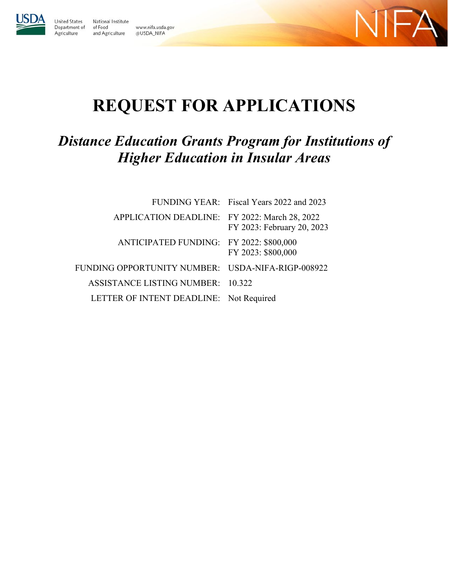

United States

Agriculture

National Institute Department of of Food www.nifa.usda.gov and Agriculture @USDA\_NIFA



# **REQUEST FOR APPLICATIONS**

## *Distance Education Grants Program for Institutions of Higher Education in Insular Areas*

|                                                   | FUNDING YEAR: Fiscal Years 2022 and 2023 |
|---------------------------------------------------|------------------------------------------|
| APPLICATION DEADLINE: FY 2022: March 28, 2022     | FY 2023: February 20, 2023               |
| ANTICIPATED FUNDING: FY 2022: \$800,000           | FY 2023: \$800,000                       |
| FUNDING OPPORTUNITY NUMBER: USDA-NIFA-RIGP-008922 |                                          |
| ASSISTANCE LISTING NUMBER: 10.322                 |                                          |
| LETTER OF INTENT DEADLINE: Not Required           |                                          |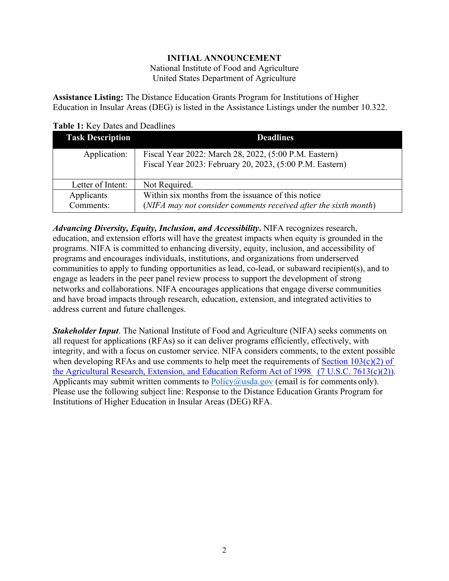## **INITIAL ANNOUNCEMENT**

National Institute of Food and Agriculture United States Department of Agriculture

<span id="page-1-0"></span>**Assistance Listing:** The Distance Education Grants Program for Institutions of Higher Education in Insular Areas (DEG) is listed in the Assistance Listings under the number 10.322.

<span id="page-1-1"></span>**Table 1:** Key Dates and Deadlines

| <b>Task Description</b> | <b>Deadlines</b>                                                                                                      |
|-------------------------|-----------------------------------------------------------------------------------------------------------------------|
| Application:            | Fiscal Year 2022: March 28, 2022, (5:00 P.M. Eastern)<br>Fiscal Year 2023: February 20, 2023, (5:00 P.M. Eastern)     |
| Letter of Intent:       | Not Required.                                                                                                         |
| Applicants<br>Comments: | Within six months from the issuance of this notice<br>(NIFA may not consider comments received after the sixth month) |

*Advancing Diversity, Equity, Inclusion, and Accessibility***.** NIFA recognizes research, education, and extension efforts will have the greatest impacts when equity is grounded in the programs. NIFA is committed to enhancing diversity, equity, inclusion, and accessibility of programs and encourages individuals, institutions, and organizations from underserved communities to apply to funding opportunities as lead, co-lead, or subaward recipient(s), and to engage as leaders in the peer panel review process to support the development of strong networks and collaborations. NIFA encourages applications that engage diverse communities and have broad impacts through research, education, extension, and integrated activities to address current and future challenges.

*Stakeholder Input*. The National Institute of Food and Agriculture (NIFA) seeks comments on all request for applications (RFAs) so it can deliver programs efficiently, effectively, with integrity, and with a focus on customer service. NIFA considers comments, to the extent possible when developing RFAs and use comments to help meet the requirements of Section  $103(c)(2)$  of [the Agricultural Research, Extension, and Education Reform Act of 1998](https://nifa.usda.gov/resource/agricultural-research-extension-and-education-reform-act-1998) [\(7 U.S.C. 7613\(c\)\(2\)\).](https://uscode.house.gov/view.xhtml?req=(title:7%20section:7613%20edition:prelim)%20OR%20(granuleid:USC-prelim-title7-section7613)&f=treesort&edition=prelim&num=0&jumpTo=true) Applicants may submit written comments to  $Policy@usda.gov$  (email is for comments only). Please use the following subject line: Response to the Distance Education Grants Program for Institutions of Higher Education in Insular Areas (DEG) RFA.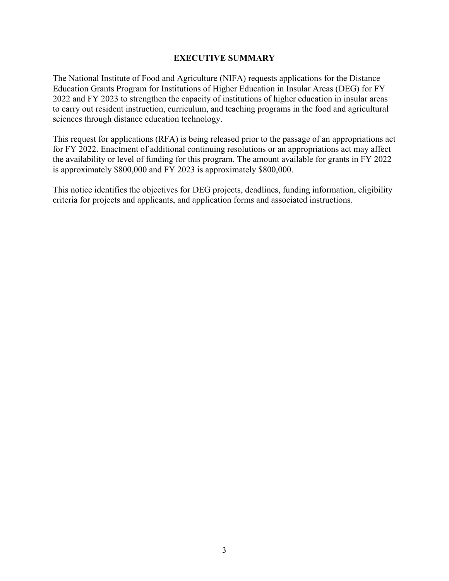#### **EXECUTIVE SUMMARY**

<span id="page-2-0"></span>The National Institute of Food and Agriculture (NIFA) requests applications for the Distance Education Grants Program for Institutions of Higher Education in Insular Areas (DEG) for FY 2022 and FY 2023 to strengthen the capacity of institutions of higher education in insular areas to carry out resident instruction, curriculum, and teaching programs in the food and agricultural sciences through distance education technology.

This request for applications (RFA) is being released prior to the passage of an appropriations act for FY 2022. Enactment of additional continuing resolutions or an appropriations act may affect the availability or level of funding for this program. The amount available for grants in FY 2022 is approximately \$800,000 and FY 2023 is approximately \$800,000.

This notice identifies the objectives for DEG projects, deadlines, funding information, eligibility criteria for projects and applicants, and application forms and associated instructions.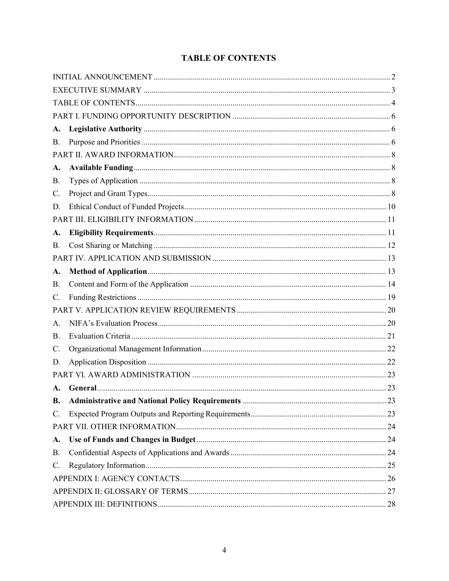## **TABLE OF CONTENTS**

<span id="page-3-0"></span>

| A.             |                                                 |  |
|----------------|-------------------------------------------------|--|
| B.             |                                                 |  |
|                |                                                 |  |
| A.             |                                                 |  |
| В.             |                                                 |  |
| C.             |                                                 |  |
| D.             |                                                 |  |
|                |                                                 |  |
| A.             |                                                 |  |
| В.             |                                                 |  |
|                |                                                 |  |
| A.             |                                                 |  |
| В.             |                                                 |  |
| C.             |                                                 |  |
|                |                                                 |  |
| A.             |                                                 |  |
| В.             |                                                 |  |
| C.             |                                                 |  |
| D.             |                                                 |  |
|                |                                                 |  |
| $\mathbf{A}$ . |                                                 |  |
| В.             | Administrative and National Policy Requirements |  |
| C.             |                                                 |  |
|                |                                                 |  |
| A.             |                                                 |  |
| <b>B.</b>      |                                                 |  |
| C.             |                                                 |  |
|                |                                                 |  |
|                |                                                 |  |
|                |                                                 |  |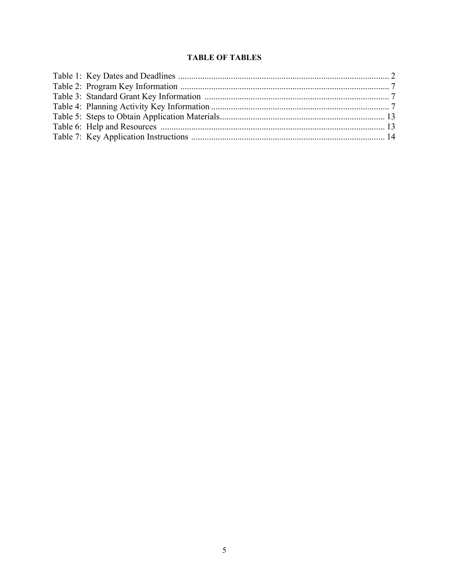## **TABLE OF TABLES**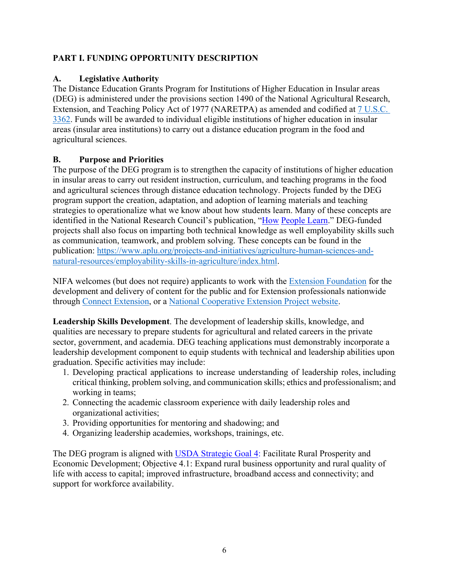## <span id="page-5-0"></span>**PART I. FUNDING OPPORTUNITY DESCRIPTION**

## <span id="page-5-1"></span>**A. Legislative Authority**

The Distance Education Grants Program for Institutions of Higher Education in Insular areas (DEG) is administered under the provisions section 1490 of the National Agricultural Research, Extension, and Teaching Policy Act of 1977 (NARETPA) as amended and codified at [7 U.S.C.](https://uscode.house.gov/view.xhtml?req=(title:7%20section:3362%20edition:prelim)%20OR%20(granuleid:USC-prelim-title7-section3362)&f=treesort&edition=prelim&num=0&jumpTo=true)  [3362.](https://uscode.house.gov/view.xhtml?req=(title:7%20section:3362%20edition:prelim)%20OR%20(granuleid:USC-prelim-title7-section3362)&f=treesort&edition=prelim&num=0&jumpTo=true) Funds will be awarded to individual eligible institutions of higher education in insular areas (insular area institutions) to carry out a distance education program in the food and agricultural sciences.

## <span id="page-5-3"></span><span id="page-5-2"></span>**B. Purpose and Priorities**

The purpose of the DEG program is to strengthen the capacity of institutions of higher education in insular areas to carry out resident instruction, curriculum, and teaching programs in the food and agricultural sciences through distance education technology. Projects funded by the DEG program support the creation, adaptation, and adoption of learning materials and teaching strategies to operationalize what we know about how students learn. Many of these concepts are identified in the National Research Council's publication, ["How](https://www.nap.edu/catalog/9853/how-people-learn-brain-mind-experience-and-school-expanded-edition) [People Learn.](https://www.nap.edu/catalog/9853/how-people-learn-brain-mind-experience-and-school-expanded-edition)" DEG-funded projects shall also focus on imparting both technical knowledge as well employability skills such as communication, teamwork, and problem solving. These concepts can be found in the publication: [https://www.aplu.org/projects-and-initiatives/agriculture-human-sciences-and](https://www.aplu.org/projects-and-initiatives/agriculture-human-sciences-and-natural-resources/employability-skills-in-agriculture/index.html)[natural-resources/employability-skills-in-agriculture/index.html.](https://www.aplu.org/projects-and-initiatives/agriculture-human-sciences-and-natural-resources/employability-skills-in-agriculture/index.html)

NIFA welcomes (but does not require) applicants to work with the [Extension Foundation](https://gcc02.safelinks.protection.outlook.com/?url=http%3A%2F%2Fextension.org%2F&data=04%7C01%7C%7Ca20ab3b70b594250729308d9b8d16d39%7Ced5b36e701ee4ebc867ee03cfa0d4697%7C0%7C0%7C637744031880128218%7CUnknown%7CTWFpbGZsb3d8eyJWIjoiMC4wLjAwMDAiLCJQIjoiV2luMzIiLCJBTiI6Ik1haWwiLCJXVCI6Mn0%3D%7C3000&sdata=O1FPITwYnPL9bUoa6KlWT3HGCAodXoe4WabAWYMPwUs%3D&reserved=0) for the development and delivery of content for the public and for Extension professionals nationwide through [Connect Extension,](https://gcc02.safelinks.protection.outlook.com/?url=http%3A%2F%2Fconnect.extension.org%2F&data=04%7C01%7C%7Ca20ab3b70b594250729308d9b8d16d39%7Ced5b36e701ee4ebc867ee03cfa0d4697%7C0%7C0%7C637744031880128218%7CUnknown%7CTWFpbGZsb3d8eyJWIjoiMC4wLjAwMDAiLCJQIjoiV2luMzIiLCJBTiI6Ik1haWwiLCJXVCI6Mn0%3D%7C3000&sdata=BvJWf0GqWsEOZBxeTIFyE0pVGEuxR95tkXzOccIQKeA%3D&reserved=0) or a [National Cooperative Extension Project website.](https://gcc02.safelinks.protection.outlook.com/?url=https%3A%2F%2Fextension.org%2Fnational-cooperative-extension-projects%2F&data=04%7C01%7C%7Ca20ab3b70b594250729308d9b8d16d39%7Ced5b36e701ee4ebc867ee03cfa0d4697%7C0%7C0%7C637744031880128218%7CUnknown%7CTWFpbGZsb3d8eyJWIjoiMC4wLjAwMDAiLCJQIjoiV2luMzIiLCJBTiI6Ik1haWwiLCJXVCI6Mn0%3D%7C3000&sdata=%2BNLyg2ocosC8NESorX3VwJSeDDNnw9IturIgC2JMlNk%3D&reserved=0)

**Leadership Skills Development**. The development of leadership skills, knowledge, and qualities are necessary to prepare students for agricultural and related careers in the private sector, government, and academia. DEG teaching applications must demonstrably incorporate a leadership development component to equip students with technical and leadership abilities upon graduation. Specific activities may include:

- 1. Developing practical applications to increase understanding of leadership roles, including critical thinking, problem solving, and communication skills; ethics and professionalism; and working in teams;
- 2. Connecting the academic classroom experience with daily leadership roles and organizational activities;
- 3. Providing opportunities for mentoring and shadowing; and
- 4. Organizing leadership academies, workshops, trainings, etc.

The DEG program is aligned with [USDA Strategic Goal 4:](https://www.usda.gov/sites/default/files/documents/usda-strategic-plan-2018-2022.pdf) Facilitate Rural Prosperity and Economic Development; Objective 4.1: Expand rural business opportunity and rural quality of life with access to capital; improved infrastructure, broadband access and connectivity; and support for workforce availability.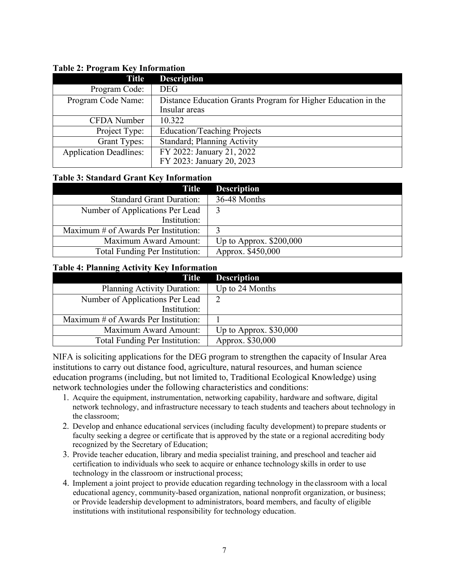| $\overline{ }$<br><b>Title</b> | <b>Description</b>                                            |
|--------------------------------|---------------------------------------------------------------|
| Program Code:                  | <b>DEG</b>                                                    |
| Program Code Name:             | Distance Education Grants Program for Higher Education in the |
|                                | Insular areas                                                 |
| CFDA Number                    | 10.322                                                        |
| Project Type:                  | <b>Education/Teaching Projects</b>                            |
| <b>Grant Types:</b>            | <b>Standard</b> ; Planning Activity                           |
| <b>Application Deadlines:</b>  | FY 2022: January 21, 2022                                     |
|                                | FY 2023: January 20, 2023                                     |

## <span id="page-6-0"></span>**Table 2: Program Key Information**

#### <span id="page-6-1"></span>**Table 3: Standard Grant Key Information**

| Title                                | <b>Description</b>       |
|--------------------------------------|--------------------------|
| <b>Standard Grant Duration:</b>      | 36-48 Months             |
| Number of Applications Per Lead      |                          |
| Institution:                         |                          |
| Maximum # of Awards Per Institution: |                          |
| Maximum Award Amount:                | Up to Approx. $$200,000$ |
| Total Funding Per Institution:       | Approx. \$450,000        |

#### <span id="page-6-2"></span>**Table 4: Planning Activity Key Information**

| <b>Title</b>                         | <b>Description</b>      |
|--------------------------------------|-------------------------|
| Planning Activity Duration:          | Up to 24 Months         |
| Number of Applications Per Lead      |                         |
| Institution:                         |                         |
| Maximum # of Awards Per Institution: |                         |
| Maximum Award Amount:                | Up to Approx. $$30,000$ |
| Total Funding Per Institution:       | Approx. \$30,000        |

NIFA is soliciting applications for the DEG program to strengthen the capacity of Insular Area institutions to carry out distance food, agriculture, natural resources, and human science education programs (including, but not limited to, Traditional Ecological Knowledge) using network technologies under the following characteristics and conditions:

- 1. Acquire the equipment, instrumentation, networking capability, hardware and software, digital network technology, and infrastructure necessary to teach students and teachers about technology in the classroom;
- 2. Develop and enhance educational services (including faculty development) to prepare students or faculty seeking a degree or certificate that is approved by the state or a regional accrediting body recognized by the Secretary of Education;
- 3. Provide teacher education, library and media specialist training, and preschool and teacher aid certification to individuals who seek to acquire or enhance technology skills in order to use technology in the classroom or instructional process;
- 4. Implement a joint project to provide education regarding technology in the classroom with a local educational agency, community-based organization, national nonprofit organization, or business; or Provide leadership development to administrators, board members, and faculty of eligible institutions with institutional responsibility for technology education.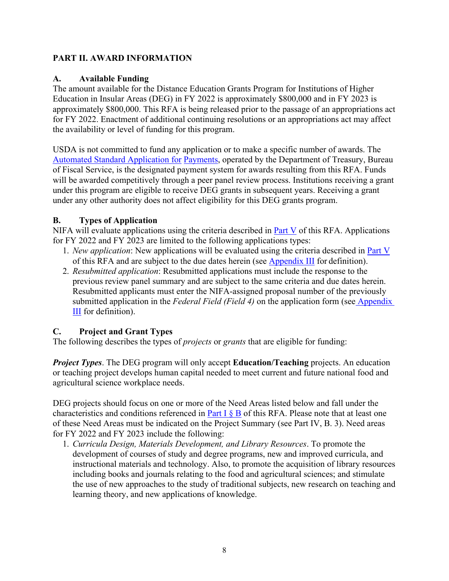## <span id="page-7-0"></span>**PART II. AWARD INFORMATION**

## <span id="page-7-1"></span>**A. Available Funding**

The amount available for the Distance Education Grants Program for Institutions of Higher Education in Insular Areas (DEG) in FY 2022 is approximately \$800,000 and in FY 2023 is approximately \$800,000. This RFA is being released prior to the passage of an appropriations act for FY 2022. Enactment of additional continuing resolutions or an appropriations act may affect the availability or level of funding for this program.

USDA is not committed to fund any application or to make a specific number of awards. The [Automated Standard Application for](https://www.fiscal.treasury.gov/fsservices/gov/pmt/asap/asap_home.htm) [Payments,](https://www.fiscal.treasury.gov/fsservices/gov/pmt/asap/asap_home.htm) operated by the Department of Treasury, Bureau of Fiscal Service, is the designated payment system for awards resulting from this RFA. Funds will be awarded competitively through a peer panel review process. Institutions receiving a grant under this program are eligible to receive DEG grants in subsequent years. Receiving a grant under any other authority does not affect eligibility for this DEG grants program.

## <span id="page-7-2"></span>**B. Types of Application**

NIFA will evaluate applications using the criteria described in [Part V](#page-19-0) of this RFA. Applications for FY 2022 and FY 2023 are limited to the following applications types:

- 1. *New application*: New applications will be evaluated using the criteria described in Part V of this RFA and are subject to the due dates herein (see [Appendix III](#page-27-0) for definition).
- 2. *Resubmitted application*: Resubmitted applications must include the response to the previous review panel summary and are subject to the same criteria and due dates herein. Resubmitted applicants must enter the NIFA-assigned proposal number of the previously submitted application in the *Federal Field (Field 4)* on the application form (see [Appendix](#page-27-0)  [III](#page-27-0) for definition).

## <span id="page-7-3"></span>**C. Project and Grant Types**

The following describes the types of *projects* or *grants* that are eligible for funding:

*Project Types*. The DEG program will only accept **Education/Teaching** projects. An education or teaching project develops human capital needed to meet current and future national food and agricultural science workplace needs.

DEG projects should focus on one or more of the Need Areas listed below and fall under the characteristics and conditions referenced in Part I  $\S$  B of this RFA. Please note that at least one of these Need Areas must be indicated on the Project Summary (see Part IV, B. 3). Need areas for FY 2022 and FY 2023 include the following:

1. *Curricula Design, Materials Development, and Library Resources*. To promote the development of courses of study and degree programs, new and improved curricula, and instructional materials and technology. Also, to promote the acquisition of library resources including books and journals relating to the food and agricultural sciences; and stimulate the use of new approaches to the study of traditional subjects, new research on teaching and learning theory, and new applications of knowledge.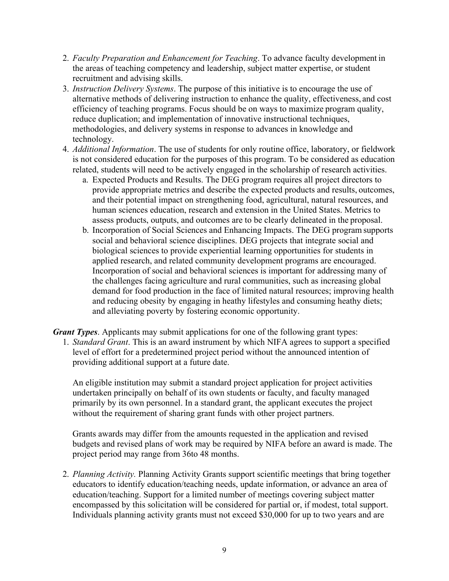- 2. *Faculty Preparation and Enhancement for Teaching*. To advance faculty development in the areas of teaching competency and leadership, subject matter expertise, or student recruitment and advising skills.
- 3. *Instruction Delivery Systems*. The purpose of this initiative is to encourage the use of alternative methods of delivering instruction to enhance the quality, effectiveness, and cost efficiency of teaching programs. Focus should be on ways to maximize program quality, reduce duplication; and implementation of innovative instructional techniques, methodologies, and delivery systems in response to advances in knowledge and technology.
- 4. *Additional Information*. The use of students for only routine office, laboratory, or fieldwork is not considered education for the purposes of this program. To be considered as education related, students will need to be actively engaged in the scholarship of research activities.
	- a. Expected Products and Results. The DEG program requires all project directors to provide appropriate metrics and describe the expected products and results, outcomes, and their potential impact on strengthening food, agricultural, natural resources, and human sciences education, research and extension in the United States. Metrics to assess products, outputs, and outcomes are to be clearly delineated in the proposal.
	- b. Incorporation of Social Sciences and Enhancing Impacts. The DEG program supports social and behavioral science disciplines. DEG projects that integrate social and biological sciences to provide experiential learning opportunities for students in applied research, and related community development programs are encouraged. Incorporation of social and behavioral sciences is important for addressing many of the challenges facing agriculture and rural communities, such as increasing global demand for food production in the face of limited natural resources; improving health and reducing obesity by engaging in heathy lifestyles and consuming heathy diets; and alleviating poverty by fostering economic opportunity.

*Grant Types*. Applicants may submit applications for one of the following grant types:

1. *Standard Grant*. This is an award instrument by which NIFA agrees to support a specified level of effort for a predetermined project period without the announced intention of providing additional support at a future date.

An eligible institution may submit a standard project application for project activities undertaken principally on behalf of its own students or faculty, and faculty managed primarily by its own personnel. In a standard grant, the applicant executes the project without the requirement of sharing grant funds with other project partners.

Grants awards may differ from the amounts requested in the application and revised budgets and revised plans of work may be required by NIFA before an award is made. The project period may range from 36to 48 months.

2. *Planning Activity.* Planning Activity Grants support scientific meetings that bring together educators to identify education/teaching needs, update information, or advance an area of education/teaching. Support for a limited number of meetings covering subject matter encompassed by this solicitation will be considered for partial or, if modest, total support. Individuals planning activity grants must not exceed \$30,000 for up to two years and are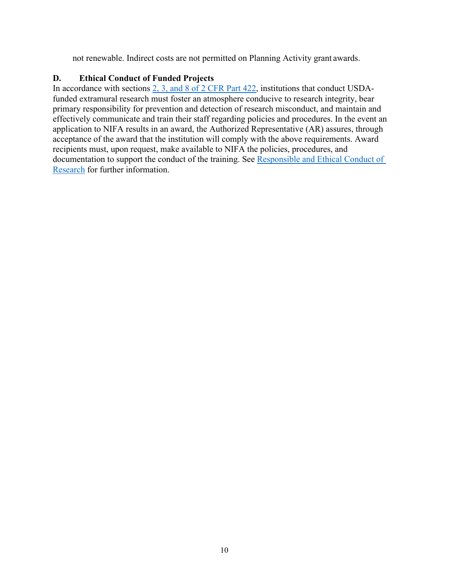not renewable. Indirect costs are not permitted on Planning Activity grant awards.

## <span id="page-9-0"></span>**D. Ethical Conduct of Funded Projects**

In accordance with sections [2, 3, and 8 of 2 CFR Part 422,](https://www.ecfr.gov/cgi-bin/text-idx?SID=3f96ab05cf1fc2d2713e5e46755e7696&mc=true&node=pt2.1.422&rgn=div5#se2.1.422_12) institutions that conduct USDAfunded extramural research must foster an atmosphere conducive to research integrity, bear primary responsibility for prevention and detection of research misconduct, and maintain and effectively communicate and train their staff regarding policies and procedures. In the event an application to NIFA results in an award, the Authorized Representative (AR) assures, through acceptance of the award that the institution will comply with the above requirements. Award recipients must, upon request, make available to NIFA the policies, procedures, and documentation to support the conduct of the training. See [Responsible and Ethical Conduct of](https://nifa.usda.gov/responsible-and-ethical-conduct-research)  [Research](https://nifa.usda.gov/responsible-and-ethical-conduct-research) for further information.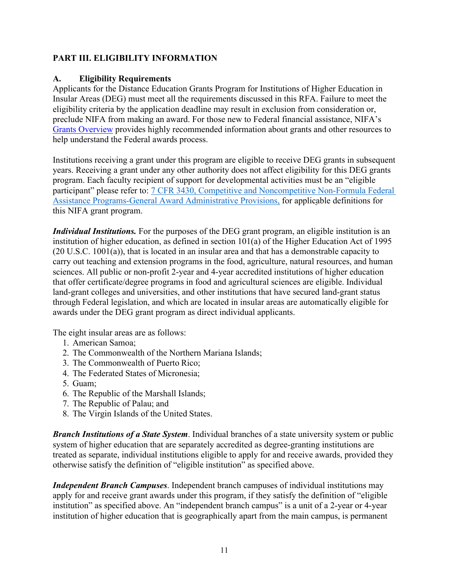## <span id="page-10-0"></span>**PART III. ELIGIBILITY INFORMATION**

## <span id="page-10-1"></span>**A. Eligibility Requirements**

Applicants for the Distance Education Grants Program for Institutions of Higher Education in Insular Areas (DEG) must meet all the requirements discussed in this RFA. Failure to meet the eligibility criteria by the application deadline may result in exclusion from consideration or, preclude NIFA from making an award. For those new to Federal financial assistance, NIFA's [Grants Overview](https://nifa.usda.gov/resource/grants-overview) provides highly recommended information about grants and other resources to help understand the Federal awards process.

Institutions receiving a grant under this program are eligible to receive DEG grants in subsequent years. Receiving a grant under any other authority does not affect eligibility for this DEG grants program. Each faculty recipient of support for developmental activities must be an "eligible participant" please refer to: [7 CFR 3430, Competitive and Noncompetitive Non-Formula Federal](https://www.ecfr.gov/cgi-bin/text-idx?SID=ba13210882cd3132762fc0574886e8c5&mc=true&node=pt7.15.3430&rgn=div5)  [Assistance Programs-General Award Administrative Provisions,](https://www.ecfr.gov/cgi-bin/text-idx?SID=ba13210882cd3132762fc0574886e8c5&mc=true&node=pt7.15.3430&rgn=div5) for applicable definitions for this NIFA grant program.

*Individual Institutions.* For the purposes of the DEG grant program, an eligible institution is an institution of higher education, as defined in section 101(a) of the Higher Education Act of 1995 (20 U.S.C. 1001(a)), that is located in an insular area and that has a demonstrable capacity to carry out teaching and extension programs in the food, agriculture, natural resources, and human sciences. All public or non-profit 2-year and 4-year accredited institutions of higher education that offer certificate/degree programs in food and agricultural sciences are eligible. Individual land-grant colleges and universities, and other institutions that have secured land-grant status through Federal legislation, and which are located in insular areas are automatically eligible for awards under the DEG grant program as direct individual applicants.

The eight insular areas are as follows:

- 1. American Samoa;
- 2. The Commonwealth of the Northern Mariana Islands;
- 3. The Commonwealth of Puerto Rico;
- 4. The Federated States of Micronesia;
- 5. Guam;
- 6. The Republic of the Marshall Islands;
- 7. The Republic of Palau; and
- 8. The Virgin Islands of the United States.

*Branch Institutions of a State System*. Individual branches of a state university system or public system of higher education that are separately accredited as degree-granting institutions are treated as separate, individual institutions eligible to apply for and receive awards, provided they otherwise satisfy the definition of "eligible institution" as specified above.

*Independent Branch Campuses*. Independent branch campuses of individual institutions may apply for and receive grant awards under this program, if they satisfy the definition of "eligible institution" as specified above. An "independent branch campus" is a unit of a 2-year or 4-year institution of higher education that is geographically apart from the main campus, is permanent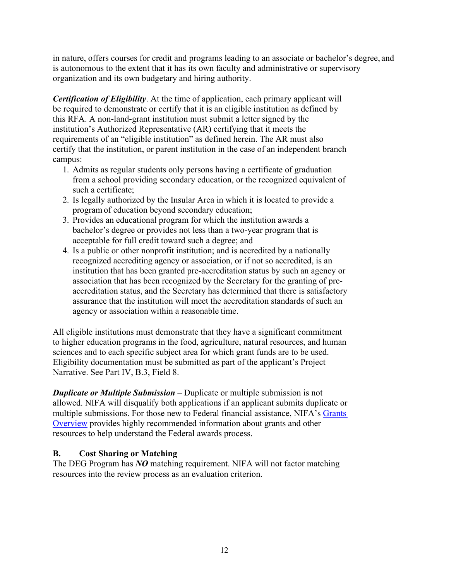in nature, offers courses for credit and programs leading to an associate or bachelor's degree, and is autonomous to the extent that it has its own faculty and administrative or supervisory organization and its own budgetary and hiring authority.

*Certification of Eligibility*. At the time of application, each primary applicant will be required to demonstrate or certify that it is an eligible institution as defined by this RFA. A non-land-grant institution must submit a letter signed by the institution's Authorized Representative (AR) certifying that it meets the requirements of an "eligible institution" as defined herein. The AR must also certify that the institution, or parent institution in the case of an independent branch campus:

- 1. Admits as regular students only persons having a certificate of graduation from a school providing secondary education, or the recognized equivalent of such a certificate;
- 2. Is legally authorized by the Insular Area in which it is located to provide a program of education beyond secondary education;
- 3. Provides an educational program for which the institution awards a bachelor's degree or provides not less than a two-year program that is acceptable for full credit toward such a degree; and
- 4. Is a public or other nonprofit institution; and is accredited by a nationally recognized accrediting agency or association, or if not so accredited, is an institution that has been granted pre-accreditation status by such an agency or association that has been recognized by the Secretary for the granting of preaccreditation status, and the Secretary has determined that there is satisfactory assurance that the institution will meet the accreditation standards of such an agency or association within a reasonable time.

All eligible institutions must demonstrate that they have a significant commitment to higher education programs in the food, agriculture, natural resources, and human sciences and to each specific subject area for which grant funds are to be used. Eligibility documentation must be submitted as part of the applicant's Project Narrative. See Part IV, B.3, Field 8.

*Duplicate or Multiple Submission* – Duplicate or multiple submission is not allowed. NIFA will disqualify both applications if an applicant submits duplicate or multiple submissions. For those new to Federal financial assistance, NIFA's [Grants](https://nifa.usda.gov/resource/grants-overview)  [Overview](https://nifa.usda.gov/resource/grants-overview) provides highly recommended information about grants and other resources to help understand the Federal awards process.

## <span id="page-11-0"></span>**B. Cost Sharing or Matching**

The DEG Program has *NO* matching requirement. NIFA will not factor matching resources into the review process as an evaluation criterion.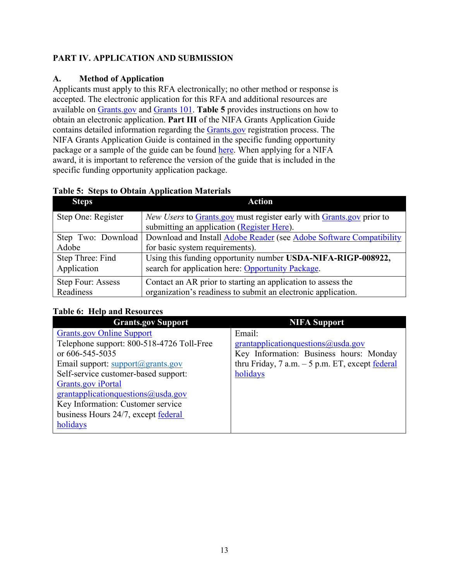## <span id="page-12-0"></span>**PART IV. APPLICATION AND SUBMISSION**

## <span id="page-12-1"></span>**A. Method of Application**

Applicants must apply to this RFA electronically; no other method or response is accepted. The electronic application for this RFA and additional resources are available on [Grants.gov](https://www.grants.gov/) and [Grants 101.](https://www.grants.gov/web/grants/learn-grants/grants-101/pre-award-phase.html/) **Table 5** provides instructions on how to obtain an electronic application. **Part III** of the NIFA Grants Application Guide contains detailed information regarding the [Grants.gov](https://www.grants.gov/) registration process. The NIFA Grants Application Guide is contained in the specific funding opportunity package or a sample of the guide can be found [here.](https://nifa.usda.gov/resource/nifa-grantsgov-application-guide) When applying for a NIFA award, it is important to reference the version of the guide that is included in the specific funding opportunity application package.

| <b>Steps</b>       | <b>Action</b>                                                        |  |  |
|--------------------|----------------------------------------------------------------------|--|--|
| Step One: Register | New Users to Grants.gov must register early with Grants.gov prior to |  |  |
|                    | submitting an application (Register Here).                           |  |  |
| Step Two: Download | Download and Install Adobe Reader (see Adobe Software Compatibility  |  |  |
| Adobe              | for basic system requirements).                                      |  |  |
| Step Three: Find   | Using this funding opportunity number USDA-NIFA-RIGP-008922,         |  |  |
| Application        | search for application here: Opportunity Package.                    |  |  |
| Step Four: Assess  | Contact an AR prior to starting an application to assess the         |  |  |
| Readiness          | organization's readiness to submit an electronic application.        |  |  |

#### <span id="page-12-2"></span>**Table 5: Steps to Obtain Application Materials**

<span id="page-12-3"></span>

| Tuble of theip and hessen tes                    |                                                    |
|--------------------------------------------------|----------------------------------------------------|
| <b>Grants.gov Support</b>                        | <b>NIFA Support</b>                                |
| <b>Grants.gov Online Support</b>                 | Email:                                             |
| Telephone support: 800-518-4726 Toll-Free        | grantapplication questions $@$ usda.gov            |
| or 606-545-5035                                  | Key Information: Business hours: Monday            |
| Email support: $support(\mathcal{Q})$ grants.gov | thru Friday, $7$ a.m. $-5$ p.m. ET, except federal |
| Self-service customer-based support:             | holidays                                           |
| Grants.gov iPortal                               |                                                    |
| grantapplicationquestions@usda.gov               |                                                    |
| Key Information: Customer service                |                                                    |
| business Hours 24/7, except federal              |                                                    |
| holidays                                         |                                                    |
|                                                  |                                                    |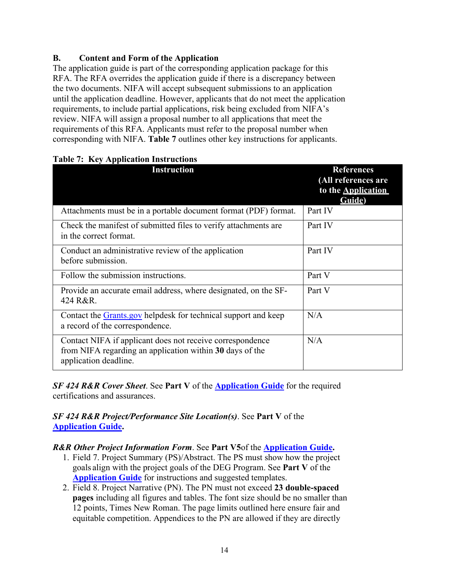## <span id="page-13-0"></span>**B. Content and Form of the Application**

The application guide is part of the corresponding application package for this RFA. The RFA overrides the application guide if there is a discrepancy between the two documents. NIFA will accept subsequent submissions to an application until the application deadline. However, applicants that do not meet the application requirements, to include partial applications, risk being excluded from NIFA's review. NIFA will assign a proposal number to all applications that meet the requirements of this RFA. Applicants must refer to the proposal number when corresponding with NIFA. **Table 7** outlines other key instructions for applicants.

| <b>Instruction</b>                                                                                                                             | <b>References</b><br>(All references are<br>to the <b>Application</b><br>Guide) |
|------------------------------------------------------------------------------------------------------------------------------------------------|---------------------------------------------------------------------------------|
| Attachments must be in a portable document format (PDF) format.                                                                                | Part IV                                                                         |
| Check the manifest of submitted files to verify attachments are<br>in the correct format.                                                      | Part IV                                                                         |
| Conduct an administrative review of the application<br>before submission.                                                                      | Part IV                                                                         |
| Follow the submission instructions.                                                                                                            | Part V                                                                          |
| Provide an accurate email address, where designated, on the SF-<br>424 R&R.                                                                    | Part V                                                                          |
| Contact the Grants.gov helpdesk for technical support and keep<br>a record of the correspondence.                                              | N/A                                                                             |
| Contact NIFA if applicant does not receive correspondence<br>from NIFA regarding an application within 30 days of the<br>application deadline. | N/A                                                                             |

<span id="page-13-1"></span>

|  | <b>Table 7: Key Application Instructions</b> |
|--|----------------------------------------------|
|  |                                              |

*SF 424 R&R Cover Sheet*. See **Part V** of the **Application Guide** for the required certifications and assurances.

*SF 424 R&R Project/Performance Site Location(s)*. See **Part V** of the **Application Guide.**

## *R&R Other Project Information Form*. See **Part V5**of the **Application Guide.**

- 1. Field 7. Project Summary (PS)/Abstract. The PS must show how the project goals align with the project goals of the DEG Program. See **Part V** of the **Application Guide** for instructions and suggested templates.
- 2. Field 8. Project Narrative (PN). The PN must not exceed **23 double-spaced pages** including all figures and tables. The font size should be no smaller than 12 points, Times New Roman. The page limits outlined here ensure fair and equitable competition. Appendices to the PN are allowed if they are directly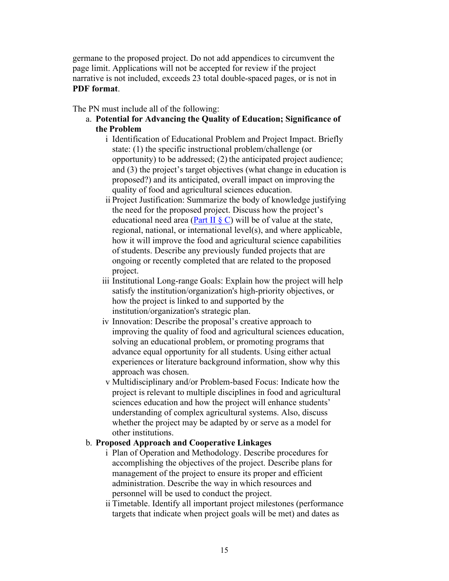germane to the proposed project. Do not add appendices to circumvent the page limit. Applications will not be accepted for review if the project narrative is not included, exceeds 23 total double-spaced pages, or is not in **PDF format**.

The PN must include all of the following:

- a. **Potential for Advancing the Quality of Education; Significance of the Problem**
	- i Identification of Educational Problem and Project Impact. Briefly state: (1) the specific instructional problem/challenge (or opportunity) to be addressed; (2) the anticipated project audience; and (3) the project's target objectives (what change in education is proposed?) and its anticipated, overall impact on improving the quality of food and agricultural sciences education.
	- ii Project Justification: Summarize the body of knowledge justifying the need for the proposed project. Discuss how the project's educational need area (Part II  $\S$  C) will be of value at the state, regional, national, or international level(s), and where applicable, how it will improve the food and agricultural science capabilities of students. Describe any previously funded projects that are ongoing or recently completed that are related to the proposed project.
	- iii Institutional Long-range Goals: Explain how the project will help satisfy the institution/organization's high-priority objectives, or how the project is linked to and supported by the institution/organization's strategic plan.
	- iv Innovation: Describe the proposal's creative approach to improving the quality of food and agricultural sciences education, solving an educational problem, or promoting programs that advance equal opportunity for all students. Using either actual experiences or literature background information, show why this approach was chosen.
	- v Multidisciplinary and/or Problem-based Focus: Indicate how the project is relevant to multiple disciplines in food and agricultural sciences education and how the project will enhance students' understanding of complex agricultural systems. Also, discuss whether the project may be adapted by or serve as a model for other institutions.

#### b. **Proposed Approach and Cooperative Linkages**

- i Plan of Operation and Methodology. Describe procedures for accomplishing the objectives of the project. Describe plans for management of the project to ensure its proper and efficient administration. Describe the way in which resources and personnel will be used to conduct the project.
- ii Timetable. Identify all important project milestones (performance targets that indicate when project goals will be met) and dates as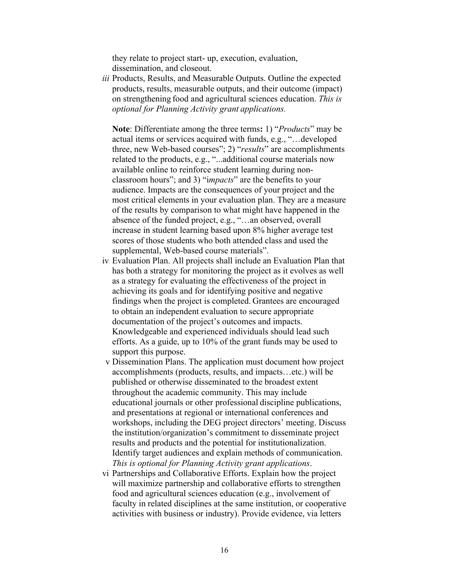they relate to project start- up, execution, evaluation, dissemination, and closeout.

*iii* Products, Results, and Measurable Outputs. Outline the expected products, results, measurable outputs, and their outcome (impact) on strengthening food and agricultural sciences education. *This is optional for Planning Activity grant applications.*

**Note**: Differentiate among the three terms**:** 1) "*Products*" may be actual items or services acquired with funds, e.g., "…developed three, new Web-based courses"; 2) "*results*" are accomplishments related to the products, e.g., "...additional course materials now available online to reinforce student learning during nonclassroom hours"; and 3) "i*mpacts*" are the benefits to your audience. Impacts are the consequences of your project and the most critical elements in your evaluation plan. They are a measure of the results by comparison to what might have happened in the absence of the funded project, e.g., "…an observed, overall increase in student learning based upon 8% higher average test scores of those students who both attended class and used the supplemental, Web-based course materials".

- iv Evaluation Plan. All projects shall include an Evaluation Plan that has both a strategy for monitoring the project as it evolves as well as a strategy for evaluating the effectiveness of the project in achieving its goals and for identifying positive and negative findings when the project is completed. Grantees are encouraged to obtain an independent evaluation to secure appropriate documentation of the project's outcomes and impacts. Knowledgeable and experienced individuals should lead such efforts. As a guide, up to 10% of the grant funds may be used to support this purpose.
- v Dissemination Plans. The application must document how project accomplishments (products, results, and impacts…etc.) will be published or otherwise disseminated to the broadest extent throughout the academic community. This may include educational journals or other professional discipline publications, and presentations at regional or international conferences and workshops, including the DEG project directors' meeting. Discuss the institution/organization's commitment to disseminate project results and products and the potential for institutionalization. Identify target audiences and explain methods of communication. *This is optional for Planning Activity grant applications*.
- vi Partnerships and Collaborative Efforts. Explain how the project will maximize partnership and collaborative efforts to strengthen food and agricultural sciences education (e.g., involvement of faculty in related disciplines at the same institution, or cooperative activities with business or industry). Provide evidence, via letters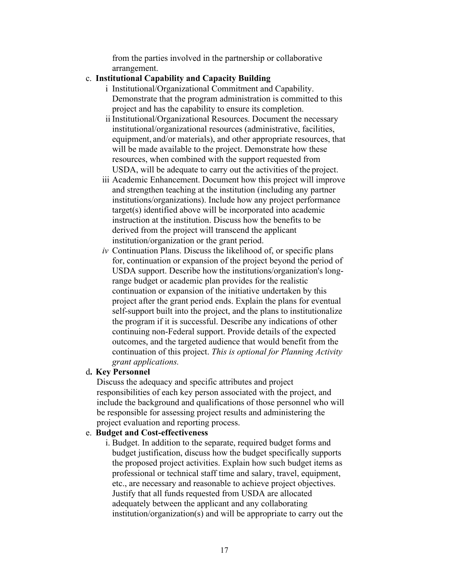from the parties involved in the partnership or collaborative arrangement.

#### c. **Institutional Capability and Capacity Building**

- i Institutional/Organizational Commitment and Capability. Demonstrate that the program administration is committed to this project and has the capability to ensure its completion.
- ii Institutional/Organizational Resources. Document the necessary institutional/organizational resources (administrative, facilities, equipment, and/or materials), and other appropriate resources, that will be made available to the project. Demonstrate how these resources, when combined with the support requested from USDA, will be adequate to carry out the activities of the project.
- iii Academic Enhancement. Document how this project will improve and strengthen teaching at the institution (including any partner institutions/organizations). Include how any project performance target(s) identified above will be incorporated into academic instruction at the institution. Discuss how the benefits to be derived from the project will transcend the applicant institution/organization or the grant period.
- *iv* Continuation Plans. Discuss the likelihood of, or specific plans for, continuation or expansion of the project beyond the period of USDA support. Describe how the institutions/organization's longrange budget or academic plan provides for the realistic continuation or expansion of the initiative undertaken by this project after the grant period ends. Explain the plans for eventual self-support built into the project, and the plans to institutionalize the program if it is successful. Describe any indications of other continuing non-Federal support. Provide details of the expected outcomes, and the targeted audience that would benefit from the continuation of this project. *This is optional for Planning Activity grant applications.*

#### d**. Key Personnel**

Discuss the adequacy and specific attributes and project responsibilities of each key person associated with the project, and include the background and qualifications of those personnel who will be responsible for assessing project results and administering the project evaluation and reporting process.

#### e. **Budget and Cost-effectiveness**

i. Budget. In addition to the separate, required budget forms and budget justification, discuss how the budget specifically supports the proposed project activities. Explain how such budget items as professional or technical staff time and salary, travel, equipment, etc., are necessary and reasonable to achieve project objectives. Justify that all funds requested from USDA are allocated adequately between the applicant and any collaborating institution/organization(s) and will be appropriate to carry out the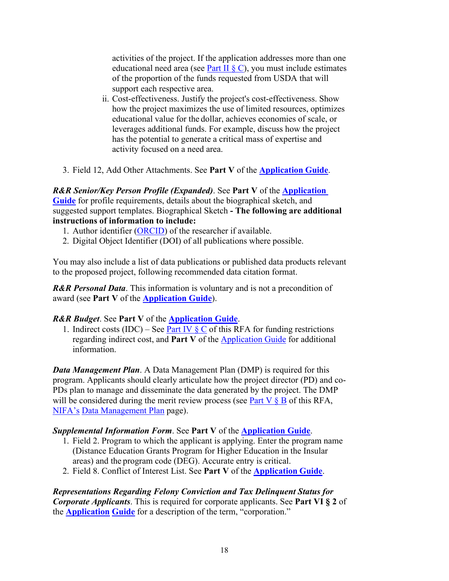activities of the project. If the application addresses more than one educational need area (see Part II  $\S$  C), you must include estimates of the proportion of the funds requested from USDA that will support each respective area.

- ii. Cost-effectiveness. Justify the project's cost-effectiveness. Show how the project maximizes the use of limited resources, optimizes educational value for the dollar, achieves economies of scale, or leverages additional funds. For example, discuss how the project has the potential to generate a critical mass of expertise and activity focused on a need area.
- 3. Field 12, Add Other Attachments. See **Part V** of the **Application Guide**.

#### *R&R Senior/Key Person Profile (Expanded)*. See **Part V** of the **Application Guide** for profile requirements, details about the biographical sketch, and suggested support templates. Biographical Sketch **- The following are additional instructions of information to include:**

- 1. Author identifier [\(ORCID\)](https://orcid.org/) of the researcher if available.
- 2. Digital Object Identifier (DOI) of all publications where possible.

You may also include a list of data publications or published data products relevant to the proposed project, following recommended data citation format.

*R&R Personal Data*. This information is voluntary and is not a precondition of award (see **Part V** of the **Application Guide**).

## *R&R Budget*. See **Part V** of the **Application Guide**.

1. Indirect costs (IDC) – See Part IV  $\S$  C of this RFA for funding restrictions regarding indirect cost, and **Part V** of the [Application Guide](https://apply07.grants.gov/apply/opportunities/instructions/PKG00249520-instructions.pdf) for additional information.

*Data Management Plan*. A Data Management Plan (DMP) is required for this program. Applicants should clearly articulate how the project director (PD) and co-PDs plan to manage and disseminate the data generated by the project. The DMP will be considered during the merit review process (see Part V  $\S$  B of this RFA, [NIFA's](https://nifa.usda.gov/resource/data-management-plan-nifa-funded-research-projects) [Data Management Plan](https://nifa.usda.gov/resource/data-management-plan-nifa-funded-research-projects) page).

## *Supplemental Information Form*. See **Part V** of the **Application Guide**.

- 1. Field 2. Program to which the applicant is applying. Enter the program name (Distance Education Grants Program for Higher Education in the Insular areas) and the program code (DEG). Accurate entry is critical.
- 2. Field 8. Conflict of Interest List. See **Part V** of the **Application Guide**.

*Representations Regarding Felony Conviction and Tax Delinquent Status for Corporate Applicants*. This is required for corporate applicants. See **Part VI § 2** of the **Application Guide** for a description of the term, "corporation."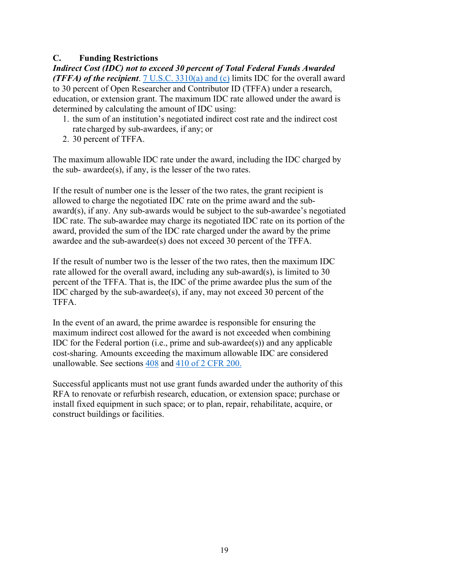## <span id="page-18-0"></span>**C. Funding Restrictions**

*Indirect Cost (IDC) not to exceed 30 percent of Total Federal Funds Awarded (TFFA) of the recipient*. [7 U.S.C. 3310\(a\) and \(c\)](https://uscode.house.gov/view.xhtml?req=(title:7%20section:3310%20edition:prelim)%20OR%20(granuleid:USC-prelim-title7-section3310)&f=treesort&edition=prelim&num=0&jumpTo=true) limits IDC for the overall award to 30 percent of Open Researcher and Contributor ID (TFFA) under a research, education, or extension grant. The maximum IDC rate allowed under the award is determined by calculating the amount of IDC using:

- 1. the sum of an institution's negotiated indirect cost rate and the indirect cost rate charged by sub-awardees, if any; or
- 2. 30 percent of TFFA.

The maximum allowable IDC rate under the award, including the IDC charged by the sub- awardee(s), if any, is the lesser of the two rates.

If the result of number one is the lesser of the two rates, the grant recipient is allowed to charge the negotiated IDC rate on the prime award and the subaward(s), if any. Any sub-awards would be subject to the sub-awardee's negotiated IDC rate. The sub-awardee may charge its negotiated IDC rate on its portion of the award, provided the sum of the IDC rate charged under the award by the prime awardee and the sub-awardee(s) does not exceed 30 percent of the TFFA.

If the result of number two is the lesser of the two rates, then the maximum IDC rate allowed for the overall award, including any sub-award(s), is limited to 30 percent of the TFFA. That is, the IDC of the prime awardee plus the sum of the IDC charged by the sub-awardee(s), if any, may not exceed 30 percent of the TFFA.

In the event of an award, the prime awardee is responsible for ensuring the maximum indirect cost allowed for the award is not exceeded when combining IDC for the Federal portion (i.e., prime and sub-awardee(s)) and any applicable cost-sharing. Amounts exceeding the maximum allowable IDC are considered unallowable. See sections [408](https://www.ecfr.gov/cgi-bin/text-idx?SID=18aed91c9e4bee1d794f8451ff3a6a4d&mc=true&node=pt2.1.200&rgn=div5#se2.1.200_1408) and [410 of 2 CFR 200.](https://www.ecfr.gov/cgi-bin/text-idx?SID=18aed91c9e4bee1d794f8451ff3a6a4d&mc=true&node=pt2.1.200&rgn=div5#se2.1.200_1410)

Successful applicants must not use grant funds awarded under the authority of this RFA to renovate or refurbish research, education, or extension space; purchase or install fixed equipment in such space; or to plan, repair, rehabilitate, acquire, or construct buildings or facilities.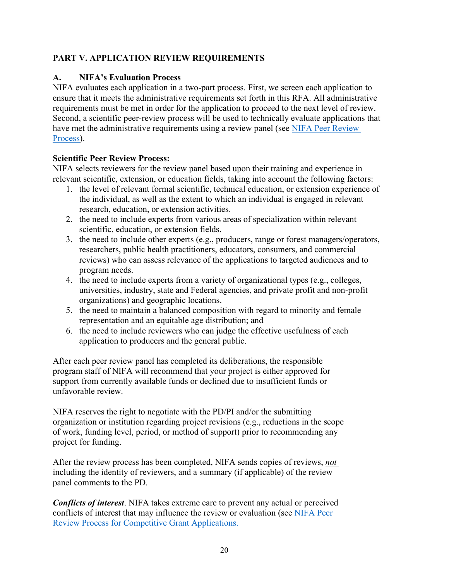## <span id="page-19-0"></span>**PART V. APPLICATION REVIEW REQUIREMENTS**

## <span id="page-19-1"></span>**A. NIFA's Evaluation Process**

NIFA evaluates each application in a two-part process. First, we screen each application to ensure that it meets the administrative requirements set forth in this RFA. All administrative requirements must be met in order for the application to proceed to the next level of review. Second, a scientific peer-review process will be used to technically evaluate applications that have met the administrative requirements using a review panel (see [NIFA Peer Review](https://nifa.usda.gov/sites/default/files/resource/NIFA-Peer-Review-Process-for-Competitive-Grant-Applications_0.pdf)  [Process\)](https://nifa.usda.gov/sites/default/files/resource/NIFA-Peer-Review-Process-for-Competitive-Grant-Applications_0.pdf).

## **Scientific Peer Review Process:**

NIFA selects reviewers for the review panel based upon their training and experience in relevant scientific, extension, or education fields, taking into account the following factors:

- 1. the level of relevant formal scientific, technical education, or extension experience of the individual, as well as the extent to which an individual is engaged in relevant research, education, or extension activities.
- 2. the need to include experts from various areas of specialization within relevant scientific, education, or extension fields.
- 3. the need to include other experts (e.g., producers, range or forest managers/operators, researchers, public health practitioners, educators, consumers, and commercial reviews) who can assess relevance of the applications to targeted audiences and to program needs.
- 4. the need to include experts from a variety of organizational types (e.g., colleges, universities, industry, state and Federal agencies, and private profit and non-profit organizations) and geographic locations.
- 5. the need to maintain a balanced composition with regard to minority and female representation and an equitable age distribution; and
- 6. the need to include reviewers who can judge the effective usefulness of each application to producers and the general public.

After each peer review panel has completed its deliberations, the responsible program staff of NIFA will recommend that your project is either approved for support from currently available funds or declined due to insufficient funds or unfavorable review.

NIFA reserves the right to negotiate with the PD/PI and/or the submitting organization or institution regarding project revisions (e.g., reductions in the scope of work, funding level, period, or method of support) prior to recommending any project for funding.

After the review process has been completed, NIFA sends copies of reviews, *not*  including the identity of reviewers, and a summary (if applicable) of the review panel comments to the PD.

*Conflicts of interest*. NIFA takes extreme care to prevent any actual or perceived conflicts of interest that may influence the review or evaluation (see [NIFA Peer](https://nifa.usda.gov/resource/nifa-peer-review-process-competitive-grant-applications)  [Review Process for Competitive Grant Applications.](https://nifa.usda.gov/resource/nifa-peer-review-process-competitive-grant-applications)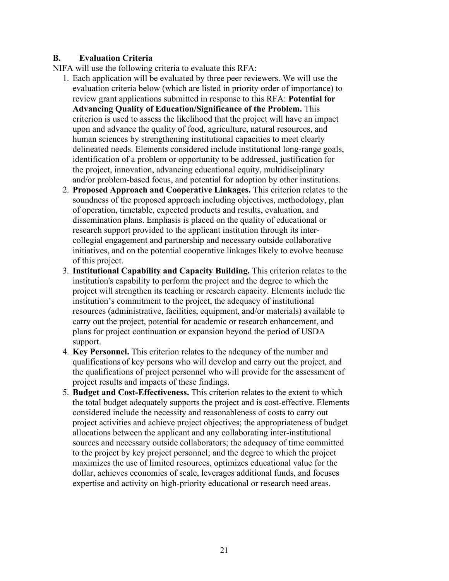## <span id="page-20-0"></span>**B. Evaluation Criteria**

NIFA will use the following criteria to evaluate this RFA:

- 1. Each application will be evaluated by three peer reviewers. We will use the evaluation criteria below (which are listed in priority order of importance) to review grant applications submitted in response to this RFA: **Potential for Advancing Quality of Education/Significance of the Problem.** This criterion is used to assess the likelihood that the project will have an impact upon and advance the quality of food, agriculture, natural resources, and human sciences by strengthening institutional capacities to meet clearly delineated needs. Elements considered include institutional long-range goals, identification of a problem or opportunity to be addressed, justification for the project, innovation, advancing educational equity, multidisciplinary and/or problem-based focus, and potential for adoption by other institutions.
- 2. **Proposed Approach and Cooperative Linkages.** This criterion relates to the soundness of the proposed approach including objectives, methodology, plan of operation, timetable, expected products and results, evaluation, and dissemination plans. Emphasis is placed on the quality of educational or research support provided to the applicant institution through its intercollegial engagement and partnership and necessary outside collaborative initiatives, and on the potential cooperative linkages likely to evolve because of this project.
- 3. **Institutional Capability and Capacity Building.** This criterion relates to the institution's capability to perform the project and the degree to which the project will strengthen its teaching or research capacity. Elements include the institution's commitment to the project, the adequacy of institutional resources (administrative, facilities, equipment, and/or materials) available to carry out the project, potential for academic or research enhancement, and plans for project continuation or expansion beyond the period of USDA support.
- 4. **Key Personnel.** This criterion relates to the adequacy of the number and qualifications of key persons who will develop and carry out the project, and the qualifications of project personnel who will provide for the assessment of project results and impacts of these findings.
- 5. **Budget and Cost-Effectiveness.** This criterion relates to the extent to which the total budget adequately supports the project and is cost-effective. Elements considered include the necessity and reasonableness of costs to carry out project activities and achieve project objectives; the appropriateness of budget allocations between the applicant and any collaborating inter-institutional sources and necessary outside collaborators; the adequacy of time committed to the project by key project personnel; and the degree to which the project maximizes the use of limited resources, optimizes educational value for the dollar, achieves economies of scale, leverages additional funds, and focuses expertise and activity on high-priority educational or research need areas.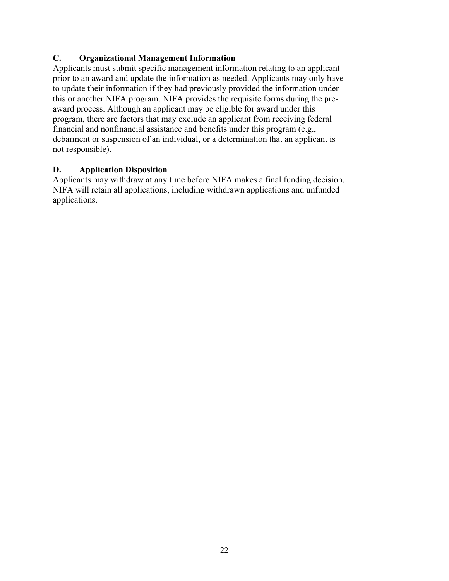## <span id="page-21-0"></span>**C. Organizational Management Information**

Applicants must submit specific management information relating to an applicant prior to an award and update the information as needed. Applicants may only have to update their information if they had previously provided the information under this or another NIFA program. NIFA provides the requisite forms during the preaward process. Although an applicant may be eligible for award under this program, there are factors that may exclude an applicant from receiving federal financial and nonfinancial assistance and benefits under this program (e.g., debarment or suspension of an individual, or a determination that an applicant is not responsible).

## <span id="page-21-1"></span>**D. Application Disposition**

Applicants may withdraw at any time before NIFA makes a final funding decision. NIFA will retain all applications, including withdrawn applications and unfunded applications.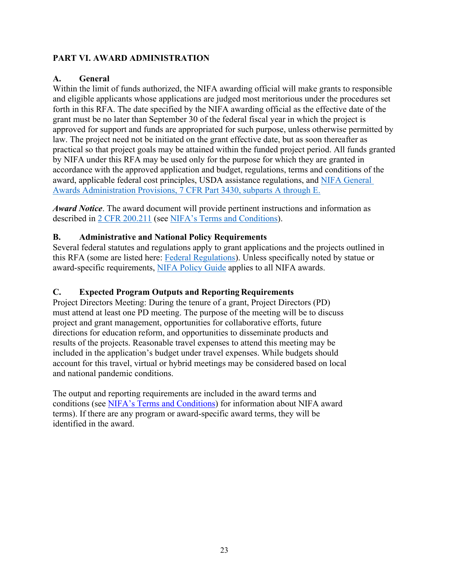## <span id="page-22-0"></span>**PART VI. AWARD ADMINISTRATION**

## <span id="page-22-1"></span>**A. General**

Within the limit of funds authorized, the NIFA awarding official will make grants to responsible and eligible applicants whose applications are judged most meritorious under the procedures set forth in this RFA. The date specified by the NIFA awarding official as the effective date of the grant must be no later than September 30 of the federal fiscal year in which the project is approved for support and funds are appropriated for such purpose, unless otherwise permitted by law. The project need not be initiated on the grant effective date, but as soon thereafter as practical so that project goals may be attained within the funded project period. All funds granted by NIFA under this RFA may be used only for the purpose for which they are granted in accordance with the approved application and budget, regulations, terms and conditions of the award, applicable federal cost principles, USDA assistance regulations, and [NIFA General](https://www.ecfr.gov/cgi-bin/text-idx?SID=1a74011311d649ff6313ca273791b131&mc=true&node=pt7.15.3430&rgn=div5)  Awards Administration Provisions, [7 CFR Part 3430, subparts A through E.](https://www.ecfr.gov/cgi-bin/text-idx?SID=1a74011311d649ff6313ca273791b131&mc=true&node=pt7.15.3430&rgn=div5)

*Award Notice*. The award document will provide pertinent instructions and information as described in [2 CFR 200.211](https://www.ecfr.gov/cgi-bin/retrieveECFR?gp=&SID=c44a1f8f16917d78ba5ba676eac5fdc3&mc=true&r=SECTION&n=se2.1.200_1211) (see [NIFA's Terms and Conditions\)](https://nifa.usda.gov/terms-and-conditions).

## <span id="page-22-2"></span>**B. Administrative and National Policy Requirements**

Several federal statutes and regulations apply to grant applications and the projects outlined in this RFA (some are listed here: [Federal Regulations\)](https://nifa.usda.gov/federal-regulations). Unless specifically noted by statue or award-specific requirements, [NIFA Policy Guide](https://nifa.usda.gov/policy-guide) applies to all NIFA awards.

## <span id="page-22-3"></span>**C. Expected Program Outputs and Reporting Requirements**

Project Directors Meeting: During the tenure of a grant, Project Directors (PD) must attend at least one PD meeting. The purpose of the meeting will be to discuss project and grant management, opportunities for collaborative efforts, future directions for education reform, and opportunities to disseminate products and results of the projects. Reasonable travel expenses to attend this meeting may be included in the application's budget under travel expenses. While budgets should account for this travel, virtual or hybrid meetings may be considered based on local and national pandemic conditions.

The output and reporting requirements are included in the award terms and conditions (see [NIFA's Terms and Conditions\)](https://nifa.usda.gov/terms-and-conditions) for information about NIFA award terms). If there are any program or award-specific award terms, they will be identified in the award.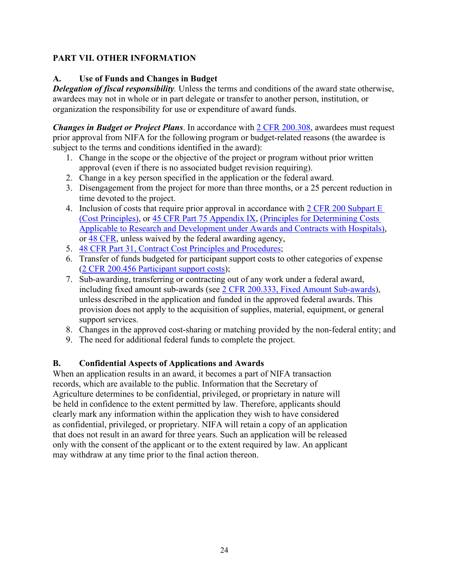## <span id="page-23-0"></span>**PART VII. OTHER INFORMATION**

## <span id="page-23-1"></span>**A. Use of Funds and Changes in Budget**

*Delegation of fiscal responsibility.* Unless the terms and conditions of the award state otherwise, awardees may not in whole or in part delegate or transfer to another person, institution, or organization the responsibility for use or expenditure of award funds.

*Changes in Budget or Project Plans*. In accordance with [2 CFR 200.308,](https://www.ecfr.gov/cgi-bin/text-idx?SID=3af89506559b05297e7d0334cb283e24&mc=true&node=se2.1.200_1308&rgn=div8) awardees must request prior approval from NIFA for the following program or budget-related reasons (the awardee is subject to the terms and conditions identified in the award):

- 1. Change in the scope or the objective of the project or program without prior written approval (even if there is no associated budget revision requiring).
- 2. Change in a key person specified in the application or the federal award.
- 3. Disengagement from the project for more than three months, or a 25 percent reduction in time devoted to the project.
- 4. Inclusion of costs that require prior approval in accordance with [2 CFR 200 Subpart E](https://www.ecfr.gov/cgi-bin/text-idx?SID=dc069d42776cd3451f66232d56026057&mc=true&node=pt2.1.200&rgn=div5#sp2.1.200.e)  [\(Cost Principles\),](https://www.ecfr.gov/cgi-bin/text-idx?SID=dc069d42776cd3451f66232d56026057&mc=true&node=pt2.1.200&rgn=div5#sp2.1.200.e) or [45 CFR Part 75 Appendix IX,](https://www.ecfr.gov/cgi-bin/text-idx?node=pt45.1.75#ap45.1.75_1521.ix) [\(Principles for Determining Costs](https://www.ecfr.gov/cgi-bin/text-idx?node=pt45.1.75#ap45.1.75_1521.ix)  [Applicable to Research and Development under Awards and Contracts with Hospitals\)](https://www.ecfr.gov/cgi-bin/text-idx?node=pt45.1.75#ap45.1.75_1521.ix), or [48 CFR,](https://www.ecfr.gov/cgi-bin/text-idx?SID=4d9d83a5cef52c19c5ff83421fa48a4b&mc=true&tpl=/ecfrbrowse/Title48/48tab_02.tpl) unless waived by the federal awarding agency,
- 5. [48 CFR Part 31, Contract Cost Principles and Procedures;](https://www.ecfr.gov/cgi-bin/text-idx?SID=4d9d83a5cef52c19c5ff83421fa48a4b&mc=true&node=pt48.1.31&rgn=div5)
- 6. Transfer of funds budgeted for participant support costs to other categories of expense [\(2 CFR 200.456 Participant support costs\)](https://www.ecfr.gov/cgi-bin/text-idx?SID=875f7422535a157681c65d5ff44deb32&mc=true&node=pt2.1.200&rgn=div5#se2.1.200_1456);
- 7. Sub-awarding, transferring or contracting out of any work under a federal award, including fixed amount sub-awards (see [2 CFR 200.333, Fixed Amount Sub-awards\)](https://www.ecfr.gov/cgi-bin/text-idx?SID=9eaf9554e1f32bf0d83aca55646e9b7e&mc=true&node=pt2.1.200&rgn=div5#se2.1.200_1333), unless described in the application and funded in the approved federal awards. This provision does not apply to the acquisition of supplies, material, equipment, or general support services.
- 8. Changes in the approved cost-sharing or matching provided by the non-federal entity; and
- 9. The need for additional federal funds to complete the project.

## <span id="page-23-2"></span>**B. Confidential Aspects of Applications and Awards**

When an application results in an award, it becomes a part of NIFA transaction records, which are available to the public. Information that the Secretary of Agriculture determines to be confidential, privileged, or proprietary in nature will be held in confidence to the extent permitted by law. Therefore, applicants should clearly mark any information within the application they wish to have considered as confidential, privileged, or proprietary. NIFA will retain a copy of an application that does not result in an award for three years. Such an application will be released only with the consent of the applicant or to the extent required by law. An applicant may withdraw at any time prior to the final action thereon.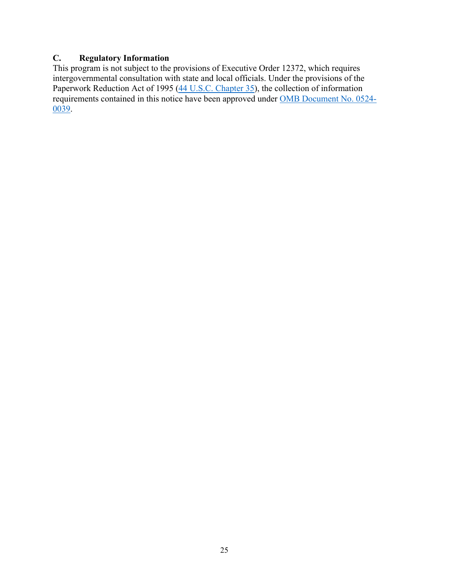## <span id="page-24-0"></span>**C. Regulatory Information**

This program is not subject to the provisions of [Executive Order 12372,](https://www.fws.gov/policy/library/rgeo12372.pdf) which requires intergovernmental consultation with state and local officials. Under the provisions of the [Paperwork Reduction Act of 1995](https://www.reginfo.gov/public/reginfo/pra.pdf) [\(44 U.S.C. Chapter 35\)](http://uscode.house.gov/view.xhtml?path=/prelim@title44/chapter35&edition=prelim), the collection of information requirements contained in this notice have been approved under [OMB Document No. 0524-](https://www.federalregister.gov/documents/2018/10/29/2018-23552/submission-for-omb-review-comment-request) [0039.](https://www.federalregister.gov/documents/2018/10/29/2018-23552/submission-for-omb-review-comment-request)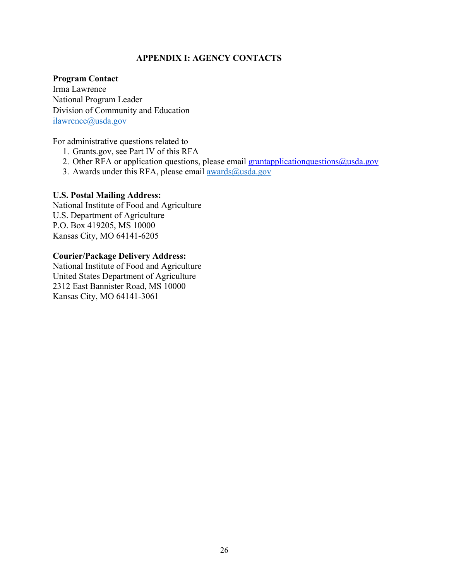## **APPENDIX I: AGENCY CONTACTS**

#### <span id="page-25-0"></span>**Program Contact**

Irma Lawrence National Program Leader Division of Community and Education [ilawrence@usda.gov](mailto:ilawrence@usda.gov)

For administrative questions related to

- 1. Grants.gov, see Part IV of this RFA
- 2. Other RFA or application questions, please email grantapplication questions  $\omega$ usda.gov
- 3. Awards under this RFA, please email  $\frac{\text{awards}(a)}{\text{wsda.gov}}$

#### **U.S. Postal Mailing Address:**

National Institute of Food and Agriculture U.S. Department of Agriculture P.O. Box 419205, MS 10000 Kansas City, MO 64141-6205

#### **Courier/Package Delivery Address:**

National Institute of Food and Agriculture United States Department of Agriculture 2312 East Bannister Road, MS 10000 Kansas City, MO 64141-3061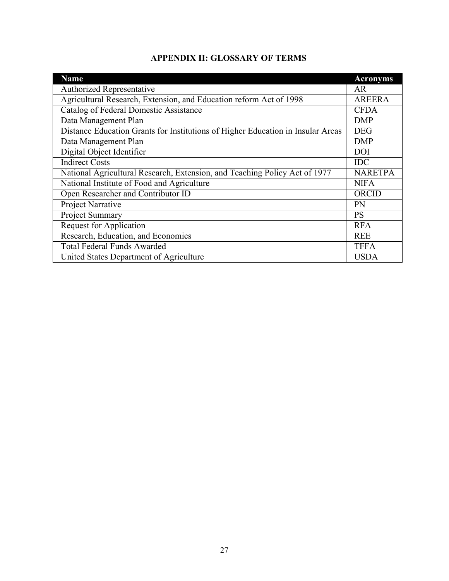| <b>APPENDIX II: GLOSSARY OF TERMS</b> |  |  |
|---------------------------------------|--|--|
|---------------------------------------|--|--|

<span id="page-26-0"></span>

| <b>Name</b>                                                                     | <b>Acronyms</b> |
|---------------------------------------------------------------------------------|-----------------|
| <b>Authorized Representative</b>                                                | AR              |
| Agricultural Research, Extension, and Education reform Act of 1998              | <b>AREERA</b>   |
| Catalog of Federal Domestic Assistance                                          | <b>CFDA</b>     |
| Data Management Plan                                                            | <b>DMP</b>      |
| Distance Education Grants for Institutions of Higher Education in Insular Areas | <b>DEG</b>      |
| Data Management Plan                                                            | <b>DMP</b>      |
| Digital Object Identifier                                                       | DOI             |
| <b>Indirect Costs</b>                                                           | <b>IDC</b>      |
| National Agricultural Research, Extension, and Teaching Policy Act of 1977      | <b>NARETPA</b>  |
| National Institute of Food and Agriculture                                      | <b>NIFA</b>     |
| Open Researcher and Contributor ID                                              | ORCID           |
| Project Narrative                                                               | <b>PN</b>       |
| Project Summary                                                                 | <b>PS</b>       |
| <b>Request for Application</b>                                                  | <b>RFA</b>      |
| Research, Education, and Economics                                              | <b>REE</b>      |
| <b>Total Federal Funds Awarded</b>                                              | <b>TFFA</b>     |
| United States Department of Agriculture                                         | <b>USDA</b>     |